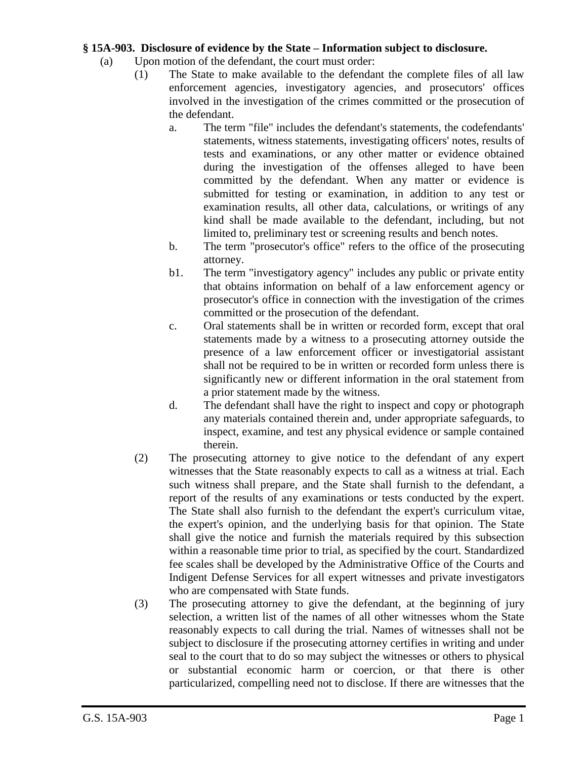## **§ 15A-903. Disclosure of evidence by the State – Information subject to disclosure.**

- (a) Upon motion of the defendant, the court must order:
	- (1) The State to make available to the defendant the complete files of all law enforcement agencies, investigatory agencies, and prosecutors' offices involved in the investigation of the crimes committed or the prosecution of the defendant.
		- a. The term "file" includes the defendant's statements, the codefendants' statements, witness statements, investigating officers' notes, results of tests and examinations, or any other matter or evidence obtained during the investigation of the offenses alleged to have been committed by the defendant. When any matter or evidence is submitted for testing or examination, in addition to any test or examination results, all other data, calculations, or writings of any kind shall be made available to the defendant, including, but not limited to, preliminary test or screening results and bench notes.
		- b. The term "prosecutor's office" refers to the office of the prosecuting attorney.
		- b1. The term "investigatory agency" includes any public or private entity that obtains information on behalf of a law enforcement agency or prosecutor's office in connection with the investigation of the crimes committed or the prosecution of the defendant.
		- c. Oral statements shall be in written or recorded form, except that oral statements made by a witness to a prosecuting attorney outside the presence of a law enforcement officer or investigatorial assistant shall not be required to be in written or recorded form unless there is significantly new or different information in the oral statement from a prior statement made by the witness.
		- d. The defendant shall have the right to inspect and copy or photograph any materials contained therein and, under appropriate safeguards, to inspect, examine, and test any physical evidence or sample contained therein.
	- (2) The prosecuting attorney to give notice to the defendant of any expert witnesses that the State reasonably expects to call as a witness at trial. Each such witness shall prepare, and the State shall furnish to the defendant, a report of the results of any examinations or tests conducted by the expert. The State shall also furnish to the defendant the expert's curriculum vitae, the expert's opinion, and the underlying basis for that opinion. The State shall give the notice and furnish the materials required by this subsection within a reasonable time prior to trial, as specified by the court. Standardized fee scales shall be developed by the Administrative Office of the Courts and Indigent Defense Services for all expert witnesses and private investigators who are compensated with State funds.
	- (3) The prosecuting attorney to give the defendant, at the beginning of jury selection, a written list of the names of all other witnesses whom the State reasonably expects to call during the trial. Names of witnesses shall not be subject to disclosure if the prosecuting attorney certifies in writing and under seal to the court that to do so may subject the witnesses or others to physical or substantial economic harm or coercion, or that there is other particularized, compelling need not to disclose. If there are witnesses that the